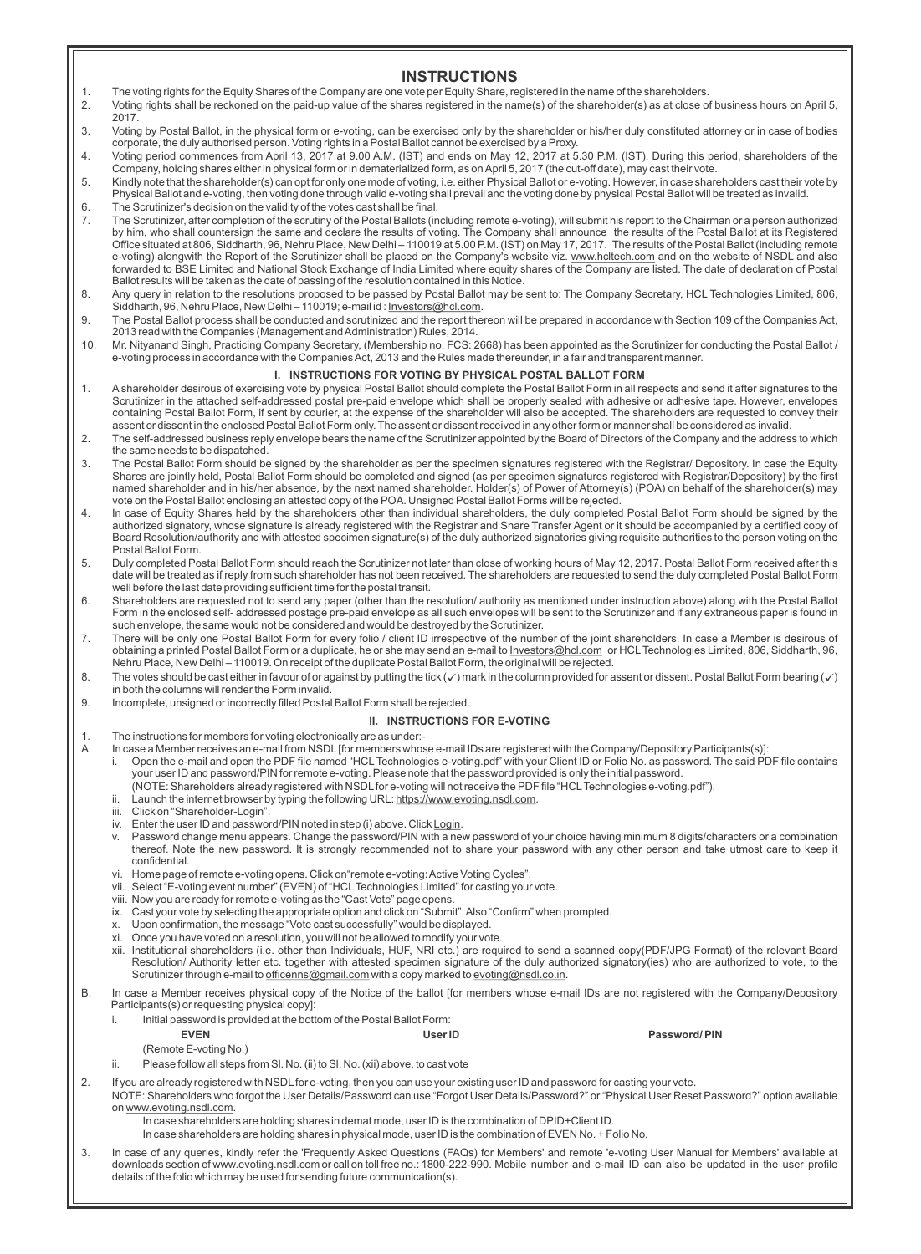# **INSTRUCTIONS**

- 1. The voting rights for the Equity Shares of the Company are one vote per Equity Share, registered in the name of the shareholders.<br>2. Voting rights shall be reckoned on the paid-up value of the shares registered in the n
- 2. Voting rights shall be reckoned on the paid-up value of the shares registered in the name(s) of the shareholder(s) as at close of business hours on April 5, 2017.
- 3. Voting by Postal Ballot, in the physical form or e-voting, can be exercised only by the shareholder or his/her duly constituted attorney or in case of bodies corporate, the duly authorised person. Voting rights in a Postal Ballot cannot be exercised by a Proxy.
- 4. Voting period commences from April 13, 2017 at 9.00 A.M. (IST) and ends on May 12, 2017 at 5.30 P.M. (IST). During this period, shareholders of the Company, holding shares either in physical form or in dematerialized form, as on April 5, 2017 (the cut-off date), may cast their vote.
- 5. Kindly note that the shareholder(s) can opt for only one mode of voting, i.e. either Physical Ballot or e-voting. However, in case shareholders cast their vote by<br>Physical Ballot and e-voting, then voting done t 6. The Scrutinizer's decision on the validity of the votes cast shall be final.
- 7. The Scrutinizer, after completion of the scrutiny of the Postal Ballots (including remote e-voting), will submit his report to the Chairman or a person authorized by him, who shall countersign the same and declare the results of voting. The Company shall announce ≀the results of the Postal Ballot at its Registered<br>Office situated at 806, Siddharth, 96, Nehru Place, New Delhi – 11001 e-voting) alongwith the Report of the Scrutinizer shall be placed on the Company's website viz. <u>www.hcltech.com</u> and on the website of NSDL and also<br>forwarded to BSE Limited and National Stock Exchange of India Limited wh
- 8. Any query in relation to the resolutions proposed to be passed by Postal Ballot may be sent to: The Company Secretary, HCL Technologies Limited, 806,<br>Siddharth, 96, Nehru Place, New Delhi 110019; e-mail id : <u>Investor</u>
- 9. The Postal Ballot process shall be conducted and scrutinized and the report thereon will be prepared in accordance with Section 109 of the Companies Act, 2013 read with the Companies (Management and Administration) Rules, 2014.
- 10. Mr. Nityanand Singh, Practicing Company Secretary, (Membership no. FCS: 2668) has been appointed as the Scrutinizer for conducting the Postal Ballot / e-voting process in accordance with the Companies Act, 2013 and the Rules made thereunder, in a fair and transparent manner.

# **I. INSTRUCTIONS FOR VOTING BY PHYSICAL POSTAL BALLOT FORM**

- 1. Ashareholder desirous of exercising vote by physical Postal Ballot should complete the Postal Ballot Form in all respects and send it after signatures to the Scrutinizer in the attached self-addressed postal pre-paid envelope which shall be properly sealed with adhesive or adhesive tape. However, envelopes containing Postal Ballot Form, if sent by courier, at the expense of the shareholder will also be accepted. The shareholders are requested to convey their assent or dissent in the enclosed Postal Ballot Form only. The assent or dissent received in any other form or manner shall be considered as invalid.
- 2. The self-addressed business reply envelope bears the name of the Scrutinizer appointed by the Board of Directors of the Company and the address to which the same needs to be dispatched.
- 3. The Postal Ballot Form should be signed by the shareholder as per the specimen signatures registered with the Registrar/ Depository. In case the Equity Shares are jointly held, Postal Ballot Form should be completed and signed (as per specimen signatures registered with Registrar/Depository) by the first named shareholder and in his/her absence, by the next named shareholder. Holder(s) of Power of Attorney(s) (POA) on behalf of the shareholder(s) may vote on the Postal Ballot enclosing an attested copy of the POA. Unsigned Postal Ballot Forms will be rejected.
- 4. In case of Equity Shares held by the shareholders other than individual shareholders, the duly completed Postal Ballot Form should be signed by the authorized signatory, whose signature is already registered with the Registrar and Share Transfer Agent or it should be accompanied by a certified copy of Board Resolution/authority and with attested specimen signature(s) of the duly authorized signatories giving requisite authorities to the person voting on the Postal Ballot Form.
- 5. Duly completed Postal Ballot Form should reach the Scrutinizer not later than close of working hours of May 12, 2017. Postal Ballot Form received after this date will be treated as if reply from such shareholder has not been received. The shareholders are requested to send the duly completed Postal Ballot Form well before the last date providing sufficient time for the postal transit.
- 6. Shareholders are requested not to send any paper (other than the resolution/ authority as mentioned under instruction above) along with the Postal Ballot Form in the enclosed self- addressed postage pre-paid envelope as all such envelopes will be sent to the Scrutinizer and if any extraneous paper is found in such envelope, the same would not be considered and would be destroyed by the Scrutinizer.
- 7. There will be only one Postal Ballot Form for every folio / client ID irrespective of the number of the joint shareholders. In case a Member is desirous of obtaining a printed Postal Ballot Form or a duplicate, he or she may send an e-mail to Investors@hcl.com or HCLTechnologies Limited, 806, Siddharth, 96, Nehru Place, New Delhi – 110019. On receipt of the duplicate Postal Ballot Form, the original will be rejected.
- 8. The votes should be cast either in favour of or against by putting the tick  $(\checkmark)$  mark in the column provided for assent or dissent. Postal Ballot Form bearing  $(\checkmark)$ in both the columns will render the Form invalid.
- 9. Incomplete, unsigned or incorrectly filled Postal Ballot Form shall be rejected.

#### **II. INSTRUCTIONS FOR E-VOTING**

- 1. The instructions for members for voting electronically are as under:-<br>A. In case a Member receives an e-mail from NSDL ffor members whos
	- In case a Member receives an e-mail from NSDL [for members whose e-mail IDs are registered with the Company/Depository Participants(s)]:
	- i. Open the e-mail and open the PDF file named "HCL Technologies e-voting.pdf" with your Client ID or Folio No. as password. The said PDF file contains your user ID and password/PIN for remote e-voting. Please note that the password provided is only the initial password.
	- (NOTE: Shareholders already registered with NSDLfor e-voting will not receive the PDF file "HCLTechnologies e-voting.pdf").
	- Launch the internet browser by typing the following URL: https://www.evoting.nsdl.com.
	- iii. Click on "Shareholder-Login".
	- iv. Enter the user ID and password/PIN noted in step (i) above. Click Login.
	- v. Password change menu appears. Change the password/PIN with a new password of your choice having minimum 8 digits/characters or a combination thereof. Note the new password. It is strongly recommended not to share your password with any other person and take utmost care to keep it confidential.
	- vi. Home page of remote e-voting opens. Click on"remote e-voting: Active Voting Cycles".
	- vii. Select "E-voting event number" (EVEN) of "HCLTechnologies Limited" for casting your vote.
	- viii. Now you are ready for remote e-voting as the "Cast Vote" page opens.
	- ix. Cast your vote by selecting the appropriate option and click on "Submit". Also "Confirm" when prompted.
	- x. Upon confirmation, the message "Vote cast successfully" would be displayed.
	- xi. Once you have voted on a resolution, you will not be allowed to modify your vote.
	- xii. Institutional shareholders (i.e. other than Individuals, HUF, NRI etc.) are required to send a scanned copy(PDF/JPG Format) of the relevant Board<br>Resolution/ Authority letter etc. together with attested specimen signa Scrutinizer through e-mail to officenns@gmail.com with a copy marked to evoting@nsdl.co.in.

B. In case a Member receives physical copy of the Notice of the ballot [for members whose e-mail IDs are not registered with the Company/Depository Participants(s) or requesting physical copy]:

i. Initial password is provided at the bottom of the Postal Ballot Form:

(Remote E-voting No.)

ii. Please follow all steps from Sl. No. (ii) to Sl. No. (xii) above, to cast vote

2. If you are already registered with NSDLfor e-voting, then you can use your existing user ID and password for casting your vote.

NOTE: Shareholders who forgot the User Details/Password can use "Forgot User Details/Password?" or "Physical User Reset Password?" option available on www.evoting.nsdl.com.

In case shareholders are holding shares in demat mode, user ID is the combination of DPID+Client ID.

- In case shareholders are holding shares in physical mode, user ID is the combination of EVEN No. + Folio No.
- 3. In case of any queries, kindly refer the 'Frequently Asked Questions (FAQs) for Members' and remote 'e-voting User Manual for Members' available at downloads section of www.evoting.nsdl.com or call on toll free no.: 1800-222-990. Mobile number and e-mail ID can also be updated in the user profile details of the folio which may be used for sending future communication(s).

**EVEN User ID Password/ PIN**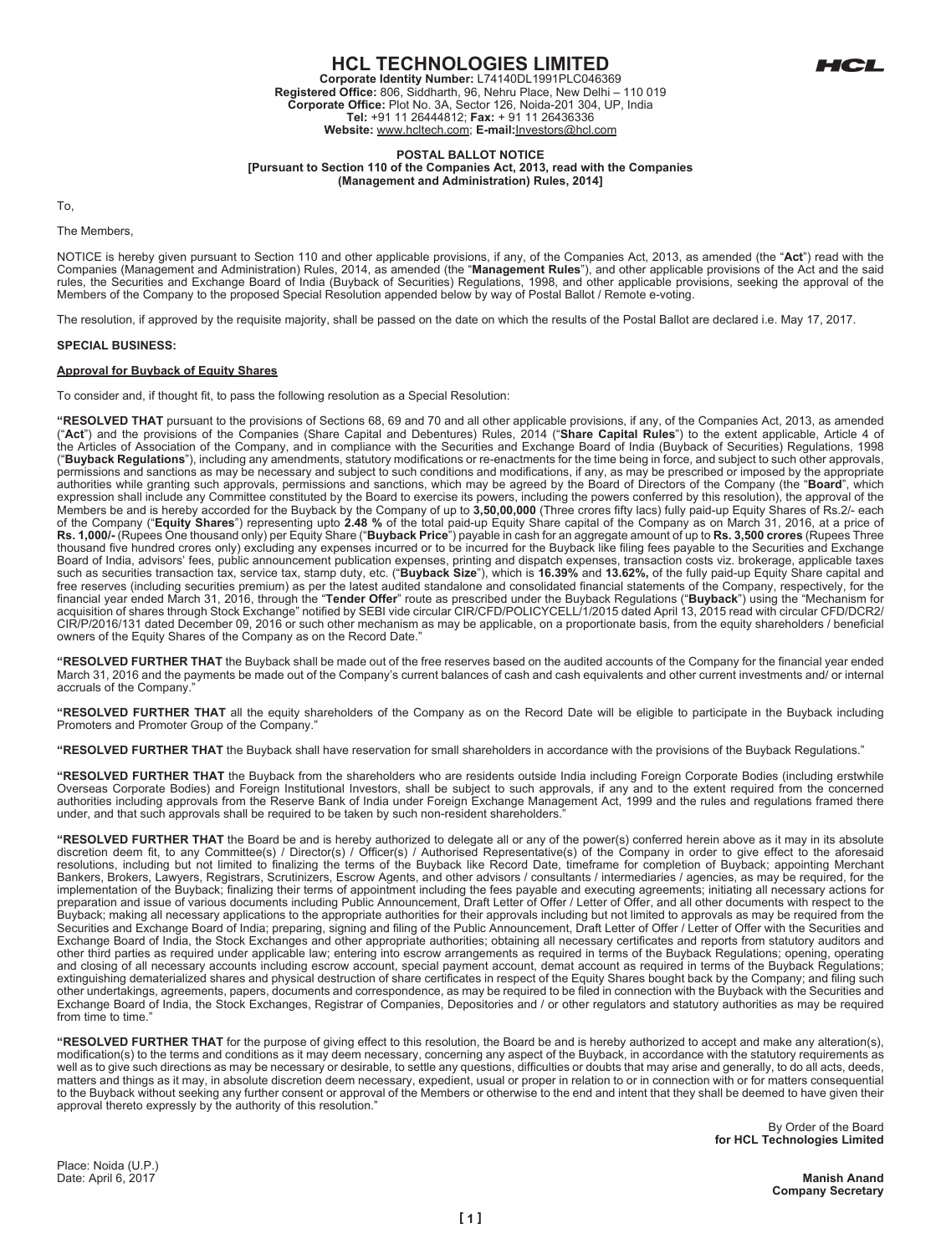

# **HCL TECHNOLOGIES LIMITED**

**Corporate Identity Number:** L74140DL1991PLC046369 **Registered Office:** 806, Siddharth, 96, Nehru Place, New Delhi – 110 019 **Corporate Office:** Plot No. 3A, Sector 126, Noida-201 304, UP, India **Tel:** +91 11 26444812; **Fax:** + 91 11 26436336 **Website:** www.hcltech.com; **E-mail:**Investors@hcl.com

#### **POSTAL BALLOT NOTICE [Pursuant to Section 110 of the Companies Act, 2013, read with the Companies (Management and Administration) Rules, 2014]**

To,

The Members,

NOTICE is hereby given pursuant to Section 110 and other applicable provisions, if any, of the Companies Act, 2013, as amended (the "**Act**") read with the Companies (Management and Administration) Rules, 2014, as amended (the "**Management Rules**"), and other applicable provisions of the Act and the said<br>rules, the Securities and Exchange Board of India (Buyback of Securities Members of the Company to the proposed Special Resolution appended below by way of Postal Ballot / Remote e-voting.

The resolution, if approved by the requisite majority, shall be passed on the date on which the results of the Postal Ballot are declared i.e. May 17, 2017.

## **SPECIAL BUSINESS:**

# **Approval for Buyback of Equity Shares**

To consider and, if thought fit, to pass the following resolution as a Special Resolution:

**"RESOLVED THAT** pursuant to the provisions of Sections 68, 69 and 70 and all other applicable provisions, if any, of the Companies Act, 2013, as amended ("**Act**") and the provisions of the Companies (Share Capital and Debentures) Rules, 2014 ("**Share Capital Rules**") to the extent applicable, Article 4 of the Articles of Association of the Company, and in compliance with the Securities and Exchange Board of India (Buyback of Securities) Regulations, 1998 ("**Buyback Regulations**"), including any amendments, statutory modifications or re-enactments for the time being in force, and subject to such other approvals, permissions and sanctions as may be necessary and subject to such conditions and modifications, if any, as may be prescribed or imposed by the appropriate authorities while granting such approvals, permissions and sanctions, which may be agreed by the Board of Directors of the Company (the "**Board**", which expression shall include any Committee constituted by the Board to exercise its powers, including the powers conferred by this resolution), the approval of the Members be and is hereby accorded for the Buyback by the Company of up to **3,50,00,000** (Three crores fifty lacs) fully paid-up Equity Shares of Rs.2/- each of the Company ("**Equity Shares**") representing upto **2.48 %** of the total paid-up Equity Share capital of the Company as on March 31, 2016, at a price of **Rs. 1,000/-** (Rupees One thousand only) per Equity Share ("**Buyback Price**") payable in cash for an aggregate amount of up to **Rs. 3,500 crores** (Rupees Three thousand five hundred crores only) excluding any expenses incurred or to be incurred for the Buyback like filing fees payable to the Securities and Exchange Board of India, advisors' fees, public announcement publication expenses, printing and dispatch expenses, transaction costs viz. brokerage, applicable taxes such as securities transaction tax, service tax, stamp duty, etc. ("**Buyback Size**"), which is **16.39%** and **13.62%,** of the fully paid-up Equity Share capital and free reserves (including securities premium) as per the latest audited standalone and consolidated financial statements of the Company, respectively, for the financial year ended March 31, 2016, through the "**Tender Offer**" route as prescribed under the Buyback Regulations ("**Buyback**") using the "Mechanism for<br>acquisition of shares through Stock Exchange" notified by SEBI vide CIR/P/2016/131 dated December 09, 2016 or such other mechanism as may be applicable, on a proportionate basis, from the equity shareholders / beneficial owners of the Equity Shares of the Company as on the Record Date."

**"RESOLVED FURTHER THAT** the Buyback shall be made out of the free reserves based on the audited accounts of the Company for the financial year ended March 31, 2016 and the payments be made out of the Company's current balances of cash and cash equivalents and other current investments and/ or internal accruals of the Company.

**"RESOLVED FURTHER THAT** all the equity shareholders of the Company as on the Record Date will be eligible to participate in the Buyback including Promoters and Promoter Group of the Company.

**"RESOLVED FURTHER THAT** the Buyback shall have reservation for small shareholders in accordance with the provisions of the Buyback Regulations."

**"RESOLVED FURTHER THAT** the Buyback from the shareholders who are residents outside India including Foreign Corporate Bodies (including erstwhile Overseas Corporate Bodies) and Foreign Institutional Investors, shall be subject to such approvals, if any and to the extent required from the concerned authorities including approvals from the Reserve Bank of India under Foreign Exchange Management Act, 1999 and the rules and regulations framed there under, and that such approvals shall be required to be taken by such non-resident shareholders."

**"RESOLVED FURTHER THAT** the Board be and is hereby authorized to delegate all or any of the power(s) conferred herein above as it may in its absolute discretion deem fit, to any Committee(s) / Director(s) / Officer(s) / Authorised Representative(s) of the Company in order to give effect to the aforesaid resolutions, including but not limited to finalizing the terms of the Buyback like Record Date, timeframe for completion of Buyback; appointing Merchant Bankers, Brokers, Lawyers, Registrars, Scrutinizers, Escrow Agents, and other advisors / consultants / intermediaries / agencies, as may be required, for the implementation of the Buyback; finalizing their terms of appointment including the fees payable and executing agreements; initiating all necessary actions for preparation and issue of various documents including Public Announcement, Draft Letter of Offer / Letter of Offer, and all other documents with respect to the Buyback; making all necessary applications to the appropriate authorities for their approvals including but not limited to approvals as may be required from the Securities and Exchange Board of India; preparing, signing and filing of the Public Announcement, Draft Letter of Offer / Letter of Offer with the Securities and Exchange Board of India, the Stock Exchanges and other appropriate authorities; obtaining all necessary certificates and reports from statutory auditors and other third parties as required under applicable law; entering into escrow arrangements as required in terms of the Buyback Regulations; opening, operating and closing of all necessary accounts including escrow account, special payment account, demat account as required in terms of the Buyback Regulations; extinguishing dematerialized shares and physical destruction of share certificates in respect of the Equity Shares bought back by the Company; and filing such other undertakings, agreements, papers, documents and correspondence, as may be required to be filed in connection with the Buyback with the Securities and Exchange Board of India, the Stock Exchanges, Registrar of Companies, Depositories and / or other regulators and statutory authorities as may be required from time to time.

**"RESOLVED FURTHER THAT** for the purpose of giving effect to this resolution, the Board be and is hereby authorized to accept and make any alteration(s), modification(s) to the terms and conditions as it may deem necessary, concerning any aspect of the Buyback, in accordance with the statutory requirements as well as to give such directions as may be necessary or desirable, to settle any questions, difficulties or doubts that may arise and generally, to do all acts, deeds, matters and things as it may, in absolute discretion deem necessary, expedient, usual or proper in relation to or in connection with or for matters consequential to the Buyback without seeking any further consent or approval of the Members or otherwise to the end and intent that they shall be deemed to have given their approval thereto expressly by the authority of this resolution.

> By Order of the Board **for HCL Technologies Limited**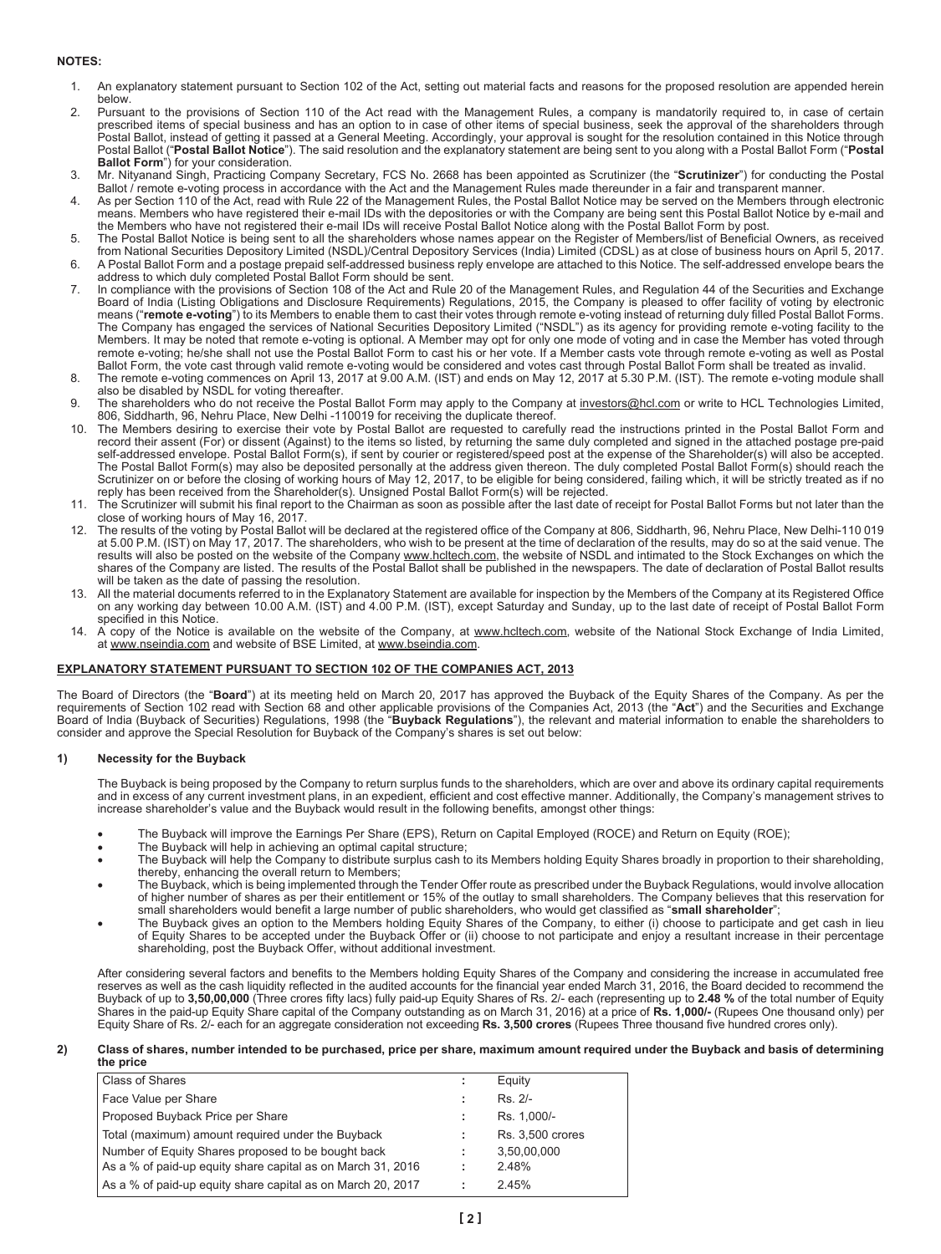# **NOTES:**

- 1. An explanatory statement pursuant to Section 102 of the Act, setting out material facts and reasons for the proposed resolution are appended herein below.
- 2. Pursuant to the provisions of Section 110 of the Act read with the Management Rules, a company is mandatorily required to, in case of certain prescribed items of special business and has an option to in case of other items of special business, seek the approval of the shareholders through Postal Ballot, instead of getting it passed at a General Meeting. Accordingly, your approval is sought for the resolution contained in this Notice through Postal Ballot ("**Postal Ballot Notice**"). The said resolution and the explanatory statement are being sent to you along with a Postal Ballot Form ("**Postal Ballot Form**") for your consideration.
- 3. Mr. Nityanand Singh, Practicing Company Secretary, FCS No. 2668 has been appointed as Scrutinizer (the "**Scrutinizer**") for conducting the Postal Ballot / remote e-voting process in accordance with the Act and the Management Rules made thereunder in a fair and transparent manner.
- 4. As per Section 110 of the Act, read with Rule 22 of the Management Rules, the Postal Ballot Notice may be served on the Members through electronic means. Members who have registered their e-mail IDs with the depositories or with the Company are being sent this Postal Ballot Notice by e-mail and the Members who have not registered their e-mail IDs will receive Postal Ballot Notice along with the Postal Ballot Form by post.
- 5. The Postal Ballot Notice is being sent to all the shareholders whose names appear on the Register of Members/list of Beneficial Owners, as received from National Securities Depository Limited (NSDL)/Central Depository Services (India) Limited (CDSL) as at close of business hours on April 5, 2017. 6. A Postal Ballot Form and a postage prepaid self-addressed business reply envelope are attached to this Notice. The self-addressed envelope bears the
- address to which duly completed Postal Ballot Form should be sent. 7. In compliance with the provisions of Section 108 of the Act and Rule 20 of the Management Rules, and Regulation 44 of the Securities and Exchange
- Board of India (Listing Obligations and Disclosure Requirements) Regulations, 2015, the Company is pleased to offer facility of voting by electronic means ("**remote e-voting**") to its Members to enable them to cast their votes through remote e-voting instead of returning duly filled Postal Ballot Forms.<br>The Company has engaged the services of National Securities Deposi Members. It may be noted that remote e-voting is optional. A Member may opt for only one mode of voting and in case the Member has voted through remote e-voting; he/she shall not use the Postal Ballot Form to cast his or her vote. If a Member casts vote through remote e-voting as well as Postal Ballot Form, the vote cast through valid remote e-voting would be considered and votes cast through Postal Ballot Form shall be treated as invalid.
- 8. The remote e-voting commences on April 13, 2017 at 9.00 A.M. (IST) and ends on May 12, 2017 at 5.30 P.M. (IST). The remote e-voting module shall also be disabled by NSDL for voting thereafter.
- 9. The shareholders who do not receive the Postal Ballot Form may apply to the Company at investors@hcl.com or write to HCL Technologies Limited, 806, Siddharth, 96, Nehru Place, New Delhi -110019 for receiving the duplicate thereof.
- 10. The Members desiring to exercise their vote by Postal Ballot are requested to carefully read the instructions printed in the Postal Ballot Form and record their assent (For) or dissent (Against) to the items so listed, by returning the same duly completed and signed in the attached postage pre-paid self-addressed envelope. Postal Ballot Form(s), if sent by courier or registered/speed post at the expense of the Shareholder(s) will also be accepted. The Postal Ballot Form(s) may also be deposited personally at the address given thereon. The duly completed Postal Ballot Form(s) should reach the Scrutinizer on or before the closing of working hours of May 12, 2017, to be eligible for being considered, failing which, it will be strictly treated as if no reply has been received from the Shareholder(s). Unsigned Postal Ballot Form(s) will be rejected.
- 11. The Scrutinizer will submit his final report to the Chairman as soon as possible after the last date of receipt for Postal Ballot Forms but not later than the close of working hours of May 16, 2017.
- 12. The results of the voting by Postal Ballot will be declared at the registered office of the Company at 806, Siddharth, 96, Nehru Place, New Delhi-110 019 at 5.00 p.m. (IST) on May 17, 2017. The shareholders, who wish to be present at the time of declaration of the results, may do so at the said venue. The results will also be posted on the website of the Company www.hcltech.com, the website of NSDL and intimated to the Stock Exchanges on which the shares of the Company are listed. The results of the Postal Ballot shall be published in the newspapers. The date of declaration of Postal Ballot results will be taken as the date of passing the resolution.
- 13. All the material documents referred to in the Explanatory Statement are available for inspection by the Members of the Company at its Registered Office on any working day between 10.00 A.M. (IST) and 4.00 P.M. (IST), except Saturday and Sunday, up to the last date of receipt of Postal Ballot Form specified in this Notice.
- 14. A copy of the Notice is available on the website of the Company, at www.hcltech.com, website of the National Stock Exchange of India Limited, at www.nseindia.com and website of BSE Limited, at www.bseindia.com.

# **EXPLANATORY STATEMENT PURSUANT TO SECTION 102 OF THE COMPANIES ACT, 2013**

The Board of Directors (the "**Board**") at its meeting held on March 20, 2017 has approved the Buyback of the Equity Shares of the Company. As per the requirements of Section 102 read with Section 68 and other applicable provisions of the Companies Act, 2013 (the "**Act**") and the Securities and Exchange Board of India (Buyback of Securities) Regulations, 1998 (the "**Buyback Regulations**"), the relevant and material information to enable the shareholders to<br>consider and approve the Special Resolution for Buyback of the Com

## **1) Necessity for the Buyback**

The Buyback is being proposed by the Company to return surplus funds to the shareholders, which are over and above its ordinary capital requirements and in excess of any current investment plans, in an expedient, efficient and cost effective manner. Additionally, the Company's management strives to increase shareholder's value and the Buyback would result in the following benefits, amongst other things:

- The Buyback will improve the Earnings Per Share (EPS), Return on Capital Employed (ROCE) and Return on Equity (ROE);
- The Buyback will help in achieving an optimal capital structure;
- • The Buyback will help the Company to distribute surplus cash to its Members holding Equity Shares broadly in proportion to their shareholding, thereby, enhancing the overall return to Members;
- The Buyback, which is being implemented through the Tender Offer route as prescribed under the Buyback Regulations, would involve allocation of higher number of shares as per their entitlement or 15% of the outlay to small shareholders. The Company believes that this reservation for small shareholders would benefit a large number of public shareholders, who would get classified as "**small shareholder**";
- • The Buyback gives an option to the Members holding Equity Shares of the Company, to either (i) choose to participate and get cash in lieu of Equity Shares to be accepted under the Buyback Offer or (ii) choose to not participate and enjoy a resultant increase in their percentage shareholding, post the Buyback Offer, without additional investment.

After considering several factors and benefits to the Members holding Equity Shares of the Company and considering the increase in accumulated free reserves as well as the cash liquidity reflected in the audited accounts for the financial year ended March 31, 2016, the Board decided to recommend the Buyback of up to **3,50,00,000** (Three crores fifty lacs) fully paid-up Equity Shares of Rs. 2/- each (representing up to **2.48 %** of the total number of Equity Shares in the paid-up Equity Share capital of the Company outstanding as on March 31, 2016) at a price of **Rs. 1,000/-** (Rupees One thousand only) per Equity Share of Rs. 2/- each for an aggregate consideration not exceeding **Rs. 3,500 crores** (Rupees Three thousand five hundred crores only).

#### **2) Class of shares, number intended to be purchased, price per share, maximum amount required under the Buyback and basis of determining the price**

| Class of Shares                                             | ÷ | Equity           |
|-------------------------------------------------------------|---|------------------|
| Face Value per Share                                        | ÷ | Rs. 2/-          |
| Proposed Buyback Price per Share                            | ÷ | Rs. 1,000/-      |
| Total (maximum) amount required under the Buyback           | ÷ | Rs. 3,500 crores |
| Number of Equity Shares proposed to be bought back          | ÷ | 3,50,00,000      |
| As a % of paid-up equity share capital as on March 31, 2016 | ÷ | 2.48%            |
| As a % of paid-up equity share capital as on March 20, 2017 |   | 2.45%            |
|                                                             |   |                  |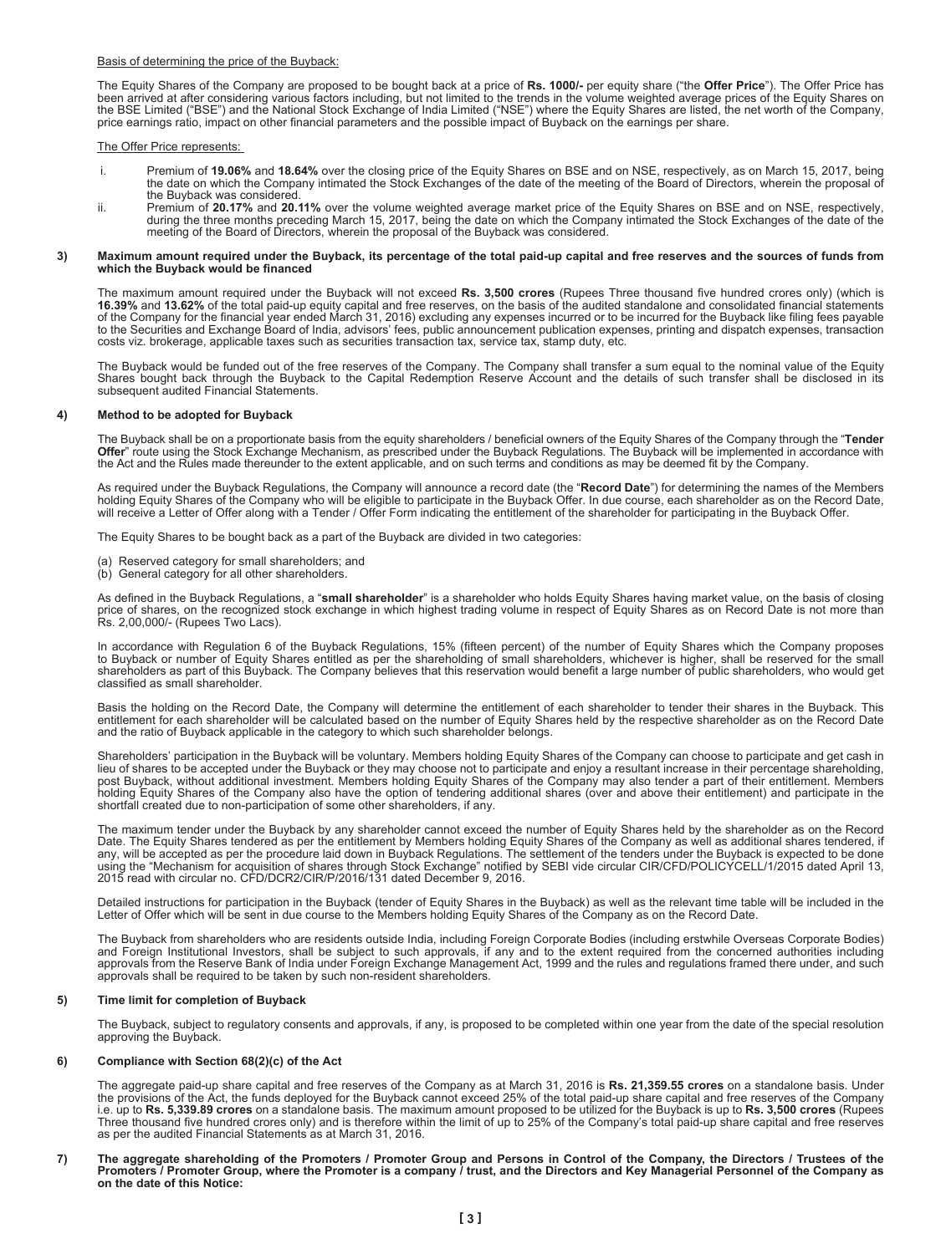#### Basis of determining the price of the Buyback:

The Equity Shares of the Company are proposed to be bought back at a price of **Rs. 1000/-** per equity share ("the **Offer Price**"). The Offer Price has<br>been arrived at after considering various factors including, but not li price earnings ratio, impact on other financial parameters and the possible impact of Buyback on the earnings per share.

## The Offer Price represents:

- i. Premium of **19.06%** and **18.64%** over the closing price of the Equity Shares on BSE and on NSE, respectively, as on March 15, 2017, being the date on which the Company intimated the Stock Exchanges of the date of the meeting of the Board of Directors, wherein the proposal of the Buyback was considered.
- ii. Premium of **20.17%** and **20.11%** over the volume weighted average market price of the Equity Shares on BSE and on NSE, respectively, during the three months preceding March 15, 2017, being the date on which the Company intimated the Stock Exchanges of the date of the meeting of the Board of Directors, wherein the proposal of the Buyback was considered.

#### **3) Maximum amount required under the Buyback, its percentage of the total paid-up capital and free reserves and the sources of funds from which the Buyback would be financed**

The maximum amount required under the Buyback will not exceed **Rs. 3,500 crores** (Rupees Three thousand five hundred crores only) (which is **16.39%** and **13.62%** of the total paid-up equity capital and free reserves, on the basis of the audited standalone and consolidated financial statements of the Company for the financial year ended March 31, 2016) excluding any expenses incurred or to be incurred for the Buyback like filing fees payable<br>to the Securities and Exchange Board of India, advisors' fees, public a costs viz. brokerage, applicable taxes such as securities transaction tax, service tax, stamp duty, etc.

The Buyback would be funded out of the free reserves of the Company. The Company shall transfer a sum equal to the nominal value of the Equity<br>Shares bought back through the Buyback to the Capital Redemption Reserve Accoun

## **4) Method to be adopted for Buyback**

The Buyback shall be on a proportionate basis from the equity shareholders / beneficial owners of the Equity Shares of the Company through the "**Tender**<br>**Offer**" route using the Stock Exchange Mechanism, as prescribed unde the Act and the Rules made thereunder to the extent applicable, and on such terms and conditions as may be deemed fit by the Company.

As required under the Buyback Regulations, the Company will announce a record date (the "**Record Date**") for determining the names of the Members<br>holding Equity Shares of the Company who will be eligible to participate in

The Equity Shares to be bought back as a part of the Buyback are divided in two categories:

- (a) Reserved category for small shareholders; and
- (b) General category for all other shareholders.

As defined in the Buyback Regulations, a "**small shareholder**" is a shareholder who holds Equity Shares having market value, on the basis of closing price of shares, on the recognized stock exchange in which highest trading volume in respect of Equity Shares as on Record Date is not more than Rs. 2,00,000/- (Rupees Two Lacs).

In accordance with Regulation 6 of the Buyback Regulations, 15% (fifteen percent) of the number of Equity Shares which the Company proposes to Buyback or number of Equity Shares entitled as per the shareholding of small shareholders, whichever is higher, shall be reserved for the small shareholders as part of this Buyback. The Company believes that this reservation would benefit a large number of public shareholders, who would get classified as small shareholder.

Basis the holding on the Record Date, the Company will determine the entitlement of each shareholder to tender their shares in the Buyback. This entitlement for each shareholder will be calculated based on the number of Equity Shares held by the respective shareholder as on the Record Date<br>and the ratio of Buyback applicable in the category to which such shareholde

Shareholders' participation in the Buyback will be voluntary. Members holding Equity Shares of the Company can choose to participate and get cash in lieu of shares to be accepted under the Buyback or they may choose not to participate and enjoy a resultant increase in their percentage shareholding, post Buyback, without additional investment. Members holding Equity Shares of the Company may also tender a part of their entitlement. Members<br>holding Equity Shares of the Company also have the option of tendering addition shortfall created due to non-participation of some other shareholders, if any.

The maximum tender under the Buyback by any shareholder cannot exceed the number of Equity Shares held by the shareholder as on the Record<br>Date. The Equity Shares tendered as per the entitlement by Members holding Equity S

Detailed instructions for participation in the Buyback (tender of Equity Shares in the Buyback) as well as the relevant time table will be included in the Letter of Offer which will be sent in due course to the Members holding Equity Shares of the Company as on the Record Date.

The Buyback from shareholders who are residents outside India, including Foreign Corporate Bodies (including erstwhile Overseas Corporate Bodies)<br>and Foreign Institutional Investors, shall be subject to such approvals, if approvals shall be required to be taken by such non-resident shareholders.

#### **5) Time limit for completion of Buyback**

The Buyback, subject to regulatory consents and approvals, if any, is proposed to be completed within one year from the date of the special resolution approving the Buyback.

## **6) Compliance with Section 68(2)(c) of the Act**

The aggregate paid-up share capital and free reserves of the Company as at March 31, 2016 is **Rs. 21,359.55 crores** on a standalone basis. Under the provisions of the Act, the funds deployed for the Buyback cannot exceed 25% of the total paid-up share capital and free reserves of the Company i.e. up to **Rs. 5,339.89 crores** on a standalone basis. The maximum amount proposed to be utilized for the Buyback is up to **Rs. 3,500 crores** (Rupees Three thousand five hundred crores only) and is therefore within the limit of up to 25% of the Company's total paid-up share capital and free reserves as per the audited Financial Statements as at March 31, 2016.

**7) The aggregate shareholding of the Promoters / Promoter Group and Persons in Control of the Company, the Directors / Trustees of the Promoters / Promoter Group, where the Promoter is a company / trust, and the Directors and Key Managerial Personnel of the Company as on the date of this Notice:**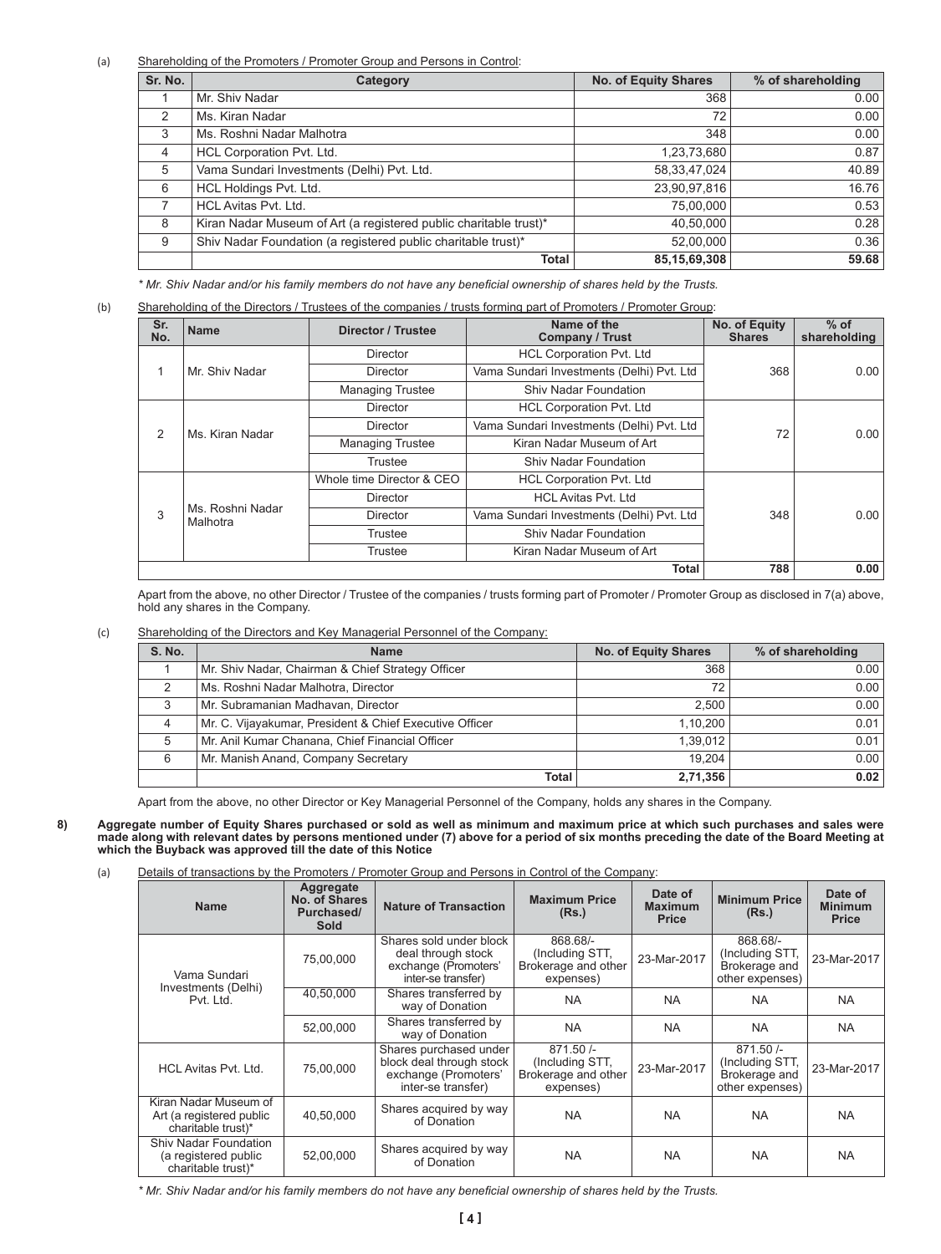(a) Shareholding of the Promoters / Promoter Group and Persons in Control:

| Sr. No.       | Category                                                          | <b>No. of Equity Shares</b> | % of shareholding |
|---------------|-------------------------------------------------------------------|-----------------------------|-------------------|
|               | Mr. Shiv Nadar                                                    | 368                         | 0.00              |
| $\mathcal{P}$ | Ms. Kiran Nadar                                                   | 72                          | 0.00              |
| 3             | Ms. Roshni Nadar Malhotra                                         | 348                         | 0.00              |
| 4             | HCL Corporation Pvt. Ltd.                                         | 1,23,73,680                 | 0.87              |
| 5             | Vama Sundari Investments (Delhi) Pvt. Ltd.                        | 58,33,47,024                | 40.89             |
| 6             | HCL Holdings Pvt. Ltd.                                            | 23,90,97,816                | 16.76             |
|               | HCL Avitas Pvt. Ltd.                                              | 75,00,000                   | 0.53              |
| 8             | Kiran Nadar Museum of Art (a registered public charitable trust)* | 40,50,000                   | 0.28              |
| 9             | Shiv Nadar Foundation (a registered public charitable trust)*     | 52,00,000                   | 0.36              |
|               | <b>Total</b>                                                      | 85, 15, 69, 308             | 59.68             |

\* Mr. Shiv Nadar and/or his family members do not have any beneficial ownership of shares held by the Trusts.

| Sr.<br>No. | <b>Name</b>                  | Director / Trustee               | Name of the<br><b>Company / Trust</b>     | No. of Equity<br><b>Shares</b> | $%$ of<br>shareholding |
|------------|------------------------------|----------------------------------|-------------------------------------------|--------------------------------|------------------------|
|            |                              | Director                         | <b>HCL Corporation Pvt. Ltd</b>           |                                |                        |
| 1          | Mr. Shiv Nadar               | Director                         | Vama Sundari Investments (Delhi) Pvt. Ltd | 368                            | 0.00                   |
|            |                              | <b>Managing Trustee</b>          | <b>Shiv Nadar Foundation</b>              |                                |                        |
| 2          | Ms. Kiran Nadar              | <b>Director</b>                  | <b>HCL Corporation Pvt. Ltd</b>           |                                |                        |
|            |                              | Director                         | Vama Sundari Investments (Delhi) Pvt. Ltd | 72                             | 0.00                   |
|            |                              | <b>Managing Trustee</b>          | Kiran Nadar Museum of Art                 |                                |                        |
|            |                              | Trustee                          | <b>Shiv Nadar Foundation</b>              |                                |                        |
|            |                              | Whole time Director & CEO        | <b>HCL Corporation Pvt. Ltd</b>           |                                |                        |
|            |                              | Director                         | <b>HCL Avitas Pvt. Ltd</b>                |                                |                        |
| 3          | Ms. Roshni Nadar<br>Malhotra | Director                         | Vama Sundari Investments (Delhi) Pvt. Ltd | 348                            | 0.00                   |
|            |                              | Shiv Nadar Foundation<br>Trustee |                                           |                                |                        |
|            |                              | Trustee                          | Kiran Nadar Museum of Art                 |                                |                        |
|            |                              |                                  | Total                                     | 788                            | 0.00                   |

Apart from the above, no other Director / Trustee of the companies / trusts forming part of Promoter / Promoter Group as disclosed in 7(a) above, hold any shares in the Company.

# (c) Shareholding of the Directors and Key Managerial Personnel of the Company:

| <b>S. No.</b> | <b>Name</b>                                             | No. of Equity Shares | % of shareholding |
|---------------|---------------------------------------------------------|----------------------|-------------------|
|               | Mr. Shiv Nadar, Chairman & Chief Strategy Officer       | 368                  | 0.001             |
| っ             | Ms. Roshni Nadar Malhotra, Director                     | 72                   | 0.00              |
| 3             | Mr. Subramanian Madhavan, Director                      | 2.500                | 0.00              |
| 4             | Mr. C. Vijayakumar, President & Chief Executive Officer | 1.10.200             | 0.01              |
| 5             | Mr. Anil Kumar Chanana, Chief Financial Officer         | 1.39.012             | 0.01              |
| 6             | Mr. Manish Anand, Company Secretary                     | 19.204               | 0.00              |
|               | <b>Total</b>                                            | 2,71,356             | 0.02              |

Apart from the above, no other Director or Key Managerial Personnel of the Company, holds any shares in the Company.

- **8) Aggregate number of Equity Shares purchased or sold as well as minimum and maximum price at which such purchases and sales were made along with relevant dates by persons mentioned under (7) above for a period of six months preceding the date of the Board Meeting at which the Buyback was approved till the date of this Notice**
	- (a) Details of transactions by the Promoters / Promoter Group and Persons in Control of the Company:

| <b>Name</b>                                                                | Aggregate<br>No. of Shares<br>Purchased/<br>Sold | <b>Nature of Transaction</b>                                                                     | <b>Maximum Price</b><br>(Rs.)                                     | Date of<br><b>Maximum</b><br><b>Price</b> | <b>Minimum Price</b><br>(Rs.)                                     | Date of<br><b>Minimum</b><br><b>Price</b> |
|----------------------------------------------------------------------------|--------------------------------------------------|--------------------------------------------------------------------------------------------------|-------------------------------------------------------------------|-------------------------------------------|-------------------------------------------------------------------|-------------------------------------------|
| Vama Sundari                                                               | 75,00,000                                        | Shares sold under block<br>deal through stock<br>exchange (Promoters'<br>inter-se transfer)      | 868.68/-<br>(Including STT,<br>Brokerage and other<br>expenses)   | 23-Mar-2017                               | 868.68/-<br>(Including STT,<br>Brokerage and<br>other expenses)   | 23-Mar-2017                               |
| Investments (Delhi)<br>Pvt. Ltd.                                           | 40,50,000                                        | Shares transferred by<br>way of Donation                                                         | <b>NA</b>                                                         | <b>NA</b>                                 | <b>NA</b>                                                         | <b>NA</b>                                 |
|                                                                            | 52,00,000                                        | Shares transferred by<br>way of Donation                                                         | <b>NA</b>                                                         | <b>NA</b>                                 | <b>NA</b>                                                         | <b>NA</b>                                 |
| <b>HCL Avitas Pvt. Ltd.</b>                                                | 75.00.000                                        | Shares purchased under<br>block deal through stock<br>exchange (Promoters'<br>inter-se transfer) | $871.50/-$<br>(Including STT,<br>Brokerage and other<br>expenses) | 23-Mar-2017                               | $871.50/-$<br>(Including STT,<br>Brokerage and<br>other expenses) | 23-Mar-2017                               |
| Kiran Nadar Museum of<br>Art (a registered public<br>charitable trust)*    | 40,50,000                                        | Shares acquired by way<br>of Donation                                                            | <b>NA</b>                                                         | <b>NA</b>                                 | <b>NA</b>                                                         | <b>NA</b>                                 |
| <b>Shiv Nadar Foundation</b><br>(a registered public<br>charitable trust)* | 52,00,000                                        | Shares acquired by way<br>of Donation                                                            | <b>NA</b>                                                         | <b>NA</b>                                 | <b>NA</b>                                                         | <b>NA</b>                                 |

\* Mr. Shiv Nadar and/or his family members do not have any beneficial ownership of shares held by the Trusts.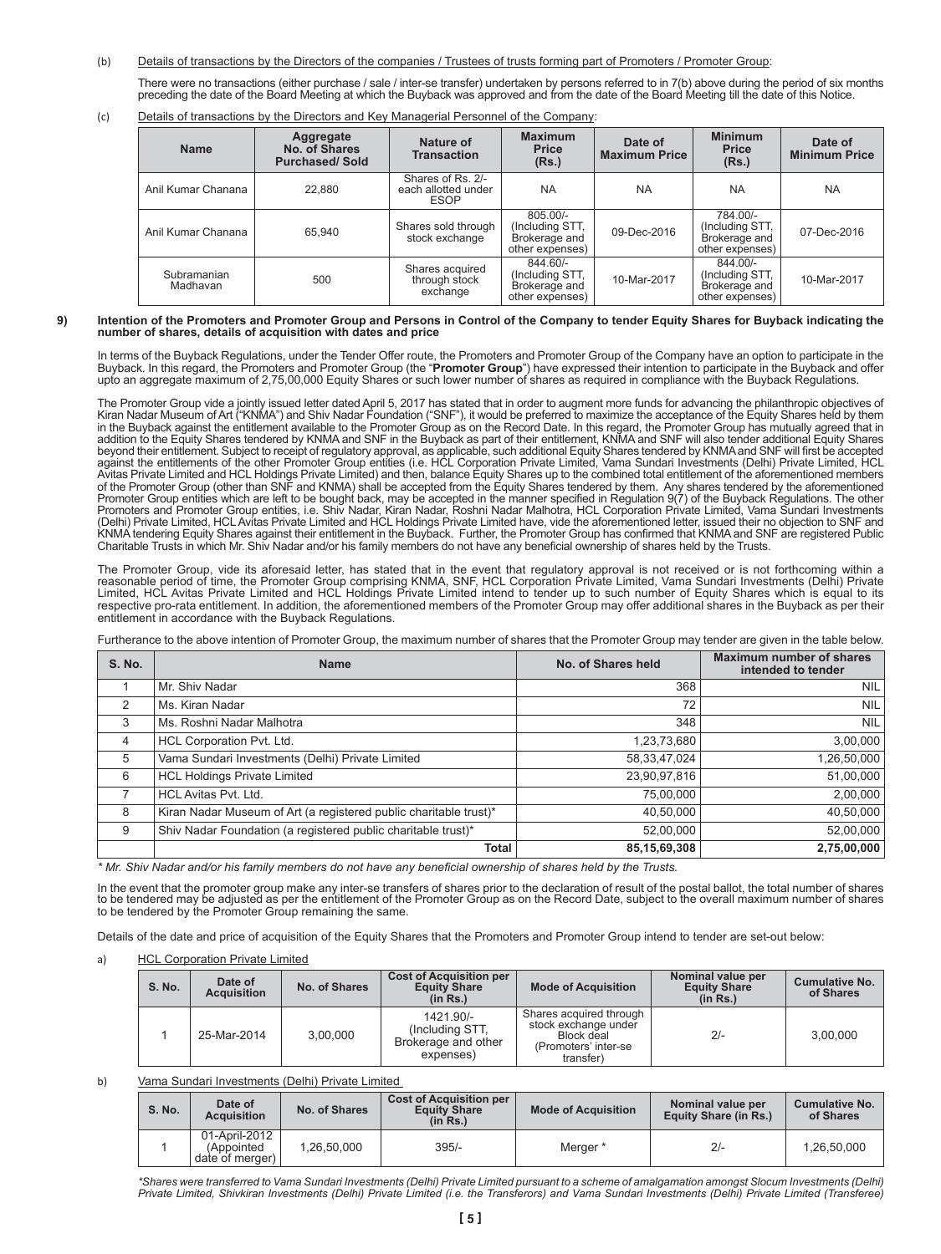(b) Details of transactions by the Directors of the companies / Trustees of trusts forming part of Promoters / Promoter Group:

There were no transactions (either purchase / sale / inter-se transfer) undertaken by persons referred to in 7(b) above during the period of six months preceding the date of the Board Meeting at which the Buyback was approved and from the date of the Board Meeting till the date of this Notice.

(c) Details of transactions by the Directors and Key Managerial Personnel of the Company:

| <b>Name</b>             | Aggregate<br>No. of Shares<br><b>Purchased/Sold</b> | Nature of<br><b>Transaction</b>                         | <b>Maximum</b><br><b>Price</b><br>(Rs.)                           | Date of<br><b>Maximum Price</b> | <b>Minimum</b><br><b>Price</b><br>(Rs.)                           | Date of<br><b>Minimum Price</b> |
|-------------------------|-----------------------------------------------------|---------------------------------------------------------|-------------------------------------------------------------------|---------------------------------|-------------------------------------------------------------------|---------------------------------|
| Anil Kumar Chanana      | 22.880                                              | Shares of Rs. 2/-<br>each allotted under<br><b>ESOP</b> | <b>NA</b>                                                         | <b>NA</b>                       | <b>NA</b>                                                         | <b>NA</b>                       |
| Anil Kumar Chanana      | 65.940                                              | Shares sold through<br>stock exchange                   | $805.00/-$<br>(Including STT,<br>Brokerage and<br>other expenses) | 09-Dec-2016                     | 784.00/-<br>(Including STT,<br>Brokerage and<br>other expenses)   | 07-Dec-2016                     |
| Subramanian<br>Madhavan | 500                                                 | Shares acquired<br>through stock<br>exchange            | 844.60/-<br>(Including STT,<br>Brokerage and<br>other expenses)   | 10-Mar-2017                     | $844.00/-$<br>(Including STT,<br>Brokerage and<br>other expenses) | 10-Mar-2017                     |

## **9) Intention of the Promoters and Promoter Group and Persons in Control of the Company to tender Equity Shares for Buyback indicating the number of shares, details of acquisition with dates and price**

In terms of the Buyback Regulations, under the Tender Offer route, the Promoters and Promoter Group of the Company have an option to participate in the<br>Buyback. In this regard, the Promoters and Promoter Group (the "**Promo** 

The Promoter Group vide a jointly issued letter dated April 5, 2017 has stated that in order to augment more funds for advancing the philanthropic objectives of<br>Kiran Nadar Museum of Art ("KNMA") and Shiv Nadar Foundation addition to the Equity Shares tendered by KNMA and SNF in the Buyback as part of their entitlement, KNMA and SNF will also tender additional Equity Shares beyond their entitlement. Subject to receipt of regulatory approval, as applicable, such additional Equity Shares tendered by KNMA and SNF will first be accepted<br>against the entitlements of the other Pronoter Group entitie KNMA tendering Equity Shares against their entitlement in the Buyback. Further, the Promoter Group has confirmed that KNMA and SNF are registered Public Charitable Trusts in which Mr. Shiv Nadar and/or his family members do not have any beneficial ownership of shares held by the Trusts.

The Promoter Group, vide its aforesaid letter, has stated that in the event that regulatory approval is not received or is not forthcoming within a<br>reasonable period of time, the Promoter Group comprising KNMA, SNF, HCL Co respective pro-rata entitlement. In addition, the aforementioned members of the Promoter Group may offer additional shares in the Buyback as per their entitlement in accordance with the Buyback Regulations.

Furtherance to the above intention of Promoter Group, the maximum number of shares that the Promoter Group may tender are given in the table below.

| <b>S. No.</b> | <b>Name</b>                                                       | No. of Shares held | Maximum number of shares<br>intended to tender |  |
|---------------|-------------------------------------------------------------------|--------------------|------------------------------------------------|--|
|               | Mr. Shiv Nadar                                                    | 368                | <b>NIL</b>                                     |  |
| 2             | Ms. Kiran Nadar                                                   | 72                 | <b>NIL</b>                                     |  |
| 3             | Ms. Roshni Nadar Malhotra                                         | 348                | <b>NIL</b>                                     |  |
| 4             | HCL Corporation Pvt. Ltd.                                         | 1,23,73,680        | 3,00,000                                       |  |
| 5             | Vama Sundari Investments (Delhi) Private Limited                  | 58, 33, 47, 024    | 1,26,50,000                                    |  |
| 6             | <b>HCL Holdings Private Limited</b>                               | 23,90,97,816       | 51,00,000                                      |  |
|               | HCL Avitas Pvt. Ltd.                                              | 75,00,000          | 2,00,000                                       |  |
| 8             | Kiran Nadar Museum of Art (a registered public charitable trust)* | 40,50,000          | 40,50,000                                      |  |
| 9             | Shiv Nadar Foundation (a registered public charitable trust)*     | 52,00,000          | 52,00,000                                      |  |
|               | <b>Total</b>                                                      | 85, 15, 69, 308    | 2,75,00,000                                    |  |

\* Mr. Shiv Nadar and/or his family members do not have any beneficial ownership of shares held by the Trusts.

In the event that the promoter group make any inter-se transfers of shares prior to the declaration of result of the postal ballot, the total number of shares to be tendered may be adjusted as per the entitlement of the Promoter Group as on the Record Date, subject to the overall maximum number of shares to be tendered by the Promoter Group remaining the same.

Details of the date and price of acquisition of the Equity Shares that the Promoters and Promoter Group intend to tender are set-out below:

a) HCL Corporation Private Limited

| S. No. | Date of<br><b>Acquisition</b> | No. of Shares | <b>Cost of Acquisition per</b><br><b>Equity Share</b><br>(in Rs.) | <b>Mode of Acquisition</b>                                                                         | Nominal value per<br><b>Equity Share</b><br>(in Rs.) | <b>Cumulative No.</b><br>of Shares |
|--------|-------------------------------|---------------|-------------------------------------------------------------------|----------------------------------------------------------------------------------------------------|------------------------------------------------------|------------------------------------|
|        | 25-Mar-2014                   | 3,00,000      | 1421.90/-<br>(Including STT,<br>Brokerage and other<br>expenses)  | Shares acquired through<br>stock exchange under<br>Block deal<br>(Promoters' inter-se<br>transfer) | $2/-$                                                | 3,00,000                           |

# b) Vama Sundari Investments (Delhi) Private Limited

| <b>S. No.</b> | Date of<br><b>Acquisition</b>                  | No. of Shares | <b>Cost of Acquisition per</b><br><b>Equity Share</b><br>(in Rs.) | <b>Mode of Acquisition</b> | Nominal value per<br>Equity Share (in Rs.) | Cumulative No.<br>of Shares |
|---------------|------------------------------------------------|---------------|-------------------------------------------------------------------|----------------------------|--------------------------------------------|-----------------------------|
|               | 01-April-2012<br>(Appointed<br>date of merger) | .26.50.000    | $395/-$                                                           | Merger *                   | $2/-$                                      | 1.26.50.000                 |

\*Shares were transferred to Vama Sundari Investments (Delhi) Private Limited pursuant to a scheme of amalgamation amongst Slocum Investments (Delhi)<br>Private Limited, Shivkiran Investments (Delhi) Private Limited (i.e. the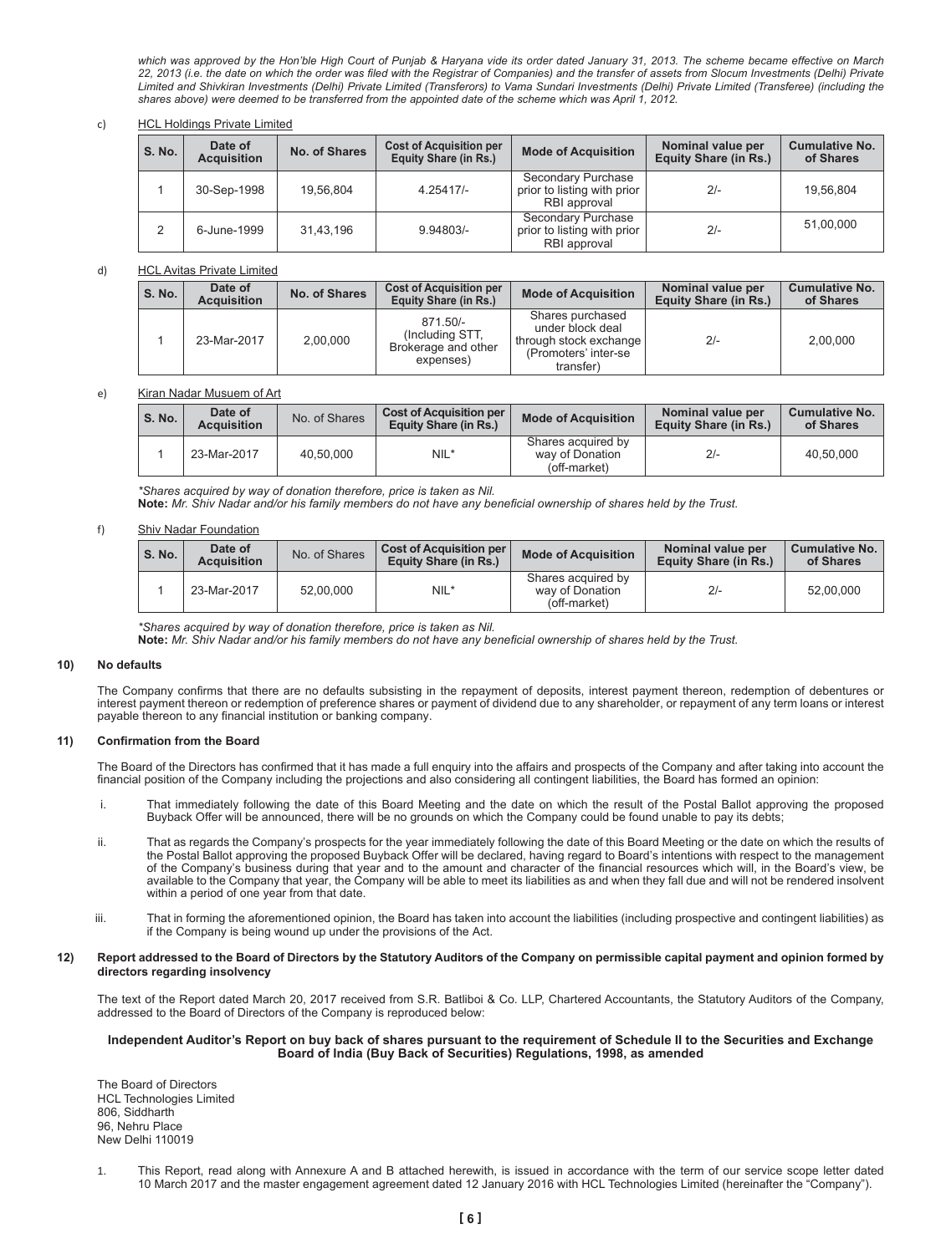which was approved by the Hon'ble High Court of Punjab & Haryana vide its order dated January 31, 2013. The scheme became effective on March 22, 2013 (i.e. the date on which the order was filed with the Registrar of Companies) and the transfer of assets from Slocum Investments (Delhi) Private Limited and Shivkiran Investments (Delhi) Private Limited (Transferors) to Vama Sundari Investments (Delhi) Private Limited (Transferee) (including the shares above) were deemed to be transferred from the appointed date of the scheme which was April 1, 2012.

## c) HCL Holdings Private Limited

| S. No. | Date of<br><b>Acquisition</b> | No. of Shares | <b>Cost of Acquisition per</b><br>Equity Share (in Rs.) | <b>Mode of Acquisition</b>                                        | Nominal value per<br>Equity Share (in Rs.) | <b>Cumulative No.</b><br>of Shares |
|--------|-------------------------------|---------------|---------------------------------------------------------|-------------------------------------------------------------------|--------------------------------------------|------------------------------------|
|        | 30-Sep-1998                   | 19.56.804     | $4.25417/-$                                             | Secondary Purchase<br>prior to listing with prior<br>RBI approval | $2/-$                                      | 19.56.804                          |
|        | 6-June-1999                   | 31.43.196     | $9.94803/-$                                             | Secondary Purchase<br>prior to listing with prior<br>RBI approval | $2/-$                                      | 51,00,000                          |

#### d) HCL Avitas Private Limited

| S. No. | Date of<br><b>Acquisition</b> | No. of Shares | <b>Cost of Acquisition per</b><br>Equity Share (in Rs.)         | <b>Mode of Acquisition</b>                                                                          | Nominal value per<br>Equity Share (in Rs.) | <b>Cumulative No.</b><br>of Shares |
|--------|-------------------------------|---------------|-----------------------------------------------------------------|-----------------------------------------------------------------------------------------------------|--------------------------------------------|------------------------------------|
|        | 23-Mar-2017                   | 2.00.000      | 871.50/-<br>(Including STT,<br>Brokerage and other<br>expenses) | Shares purchased<br>under block deal<br>through stock exchange<br>(Promoters' inter-se<br>transfer) | $2/-$                                      | 2.00.000                           |

#### e) Kiran Nadar Musuem of Art

| <b>S. No.</b> | Date of<br><b>Acquisition</b> | No. of Shares | <b>Cost of Acquisition per</b><br>Equity Share (in Rs.) | <b>Mode of Acquisition</b>                            | Nominal value per<br>Equity Share (in Rs.) | <b>Cumulative No.</b><br>of Shares |
|---------------|-------------------------------|---------------|---------------------------------------------------------|-------------------------------------------------------|--------------------------------------------|------------------------------------|
|               | 23-Mar-2017                   | 40.50.000     | NIL*                                                    | Shares acquired by<br>way of Donation<br>(off-market) | $2 -$                                      | 40.50.000                          |

 *\*Shares acquired by way of donation therefore, price is taken as Nil.*

Note: Mr. Shiv Nadar and/or his family members do not have any beneficial ownership of shares held by the Trust.

#### f) Shiv Nadar Foundation

| S. No. | Date of<br><b>Acquisition</b> | No. of Shares | <b>Cost of Acquisition per</b><br><b>Equity Share (in Rs.)</b> | <b>Mode of Acquisition</b>                            | Nominal value per<br>Equity Share (in Rs.) | <b>Cumulative No.</b><br>of Shares |
|--------|-------------------------------|---------------|----------------------------------------------------------------|-------------------------------------------------------|--------------------------------------------|------------------------------------|
|        | 23-Mar-2017                   | 52.00.000     | $NIL*$                                                         | Shares acquired by<br>way of Donation<br>(off-market) | $2/-$                                      | 52.00.000                          |

*\*Shares acquired by way of donation therefore, price is taken as Nil.*

Note: Mr. Shiv Nadar and/or his family members do not have any beneficial ownership of shares held by the Trust.

#### **10) No defaults**

The Company confirms that there are no defaults subsisting in the repayment of deposits, interest payment thereon, redemption of debentures or interest payment thereon or redemption of preference shares or payment of dividend due to any shareholder, or repayment of any term loans or interest payable thereon to any financial institution or banking company.

#### **11) Confirmation from the Board**

The Board of the Directors has confirmed that it has made a full enquiry into the affairs and prospects of the Company and after taking into account the financial position of the Company including the projections and also considering all contingent liabilities, the Board has formed an opinion:

- i. That immediately following the date of this Board Meeting and the date on which the result of the Postal Ballot approving the proposed Buyback Offer will be announced, there will be no grounds on which the Company could be found unable to pay its debts;
- ii. That as regards the Company's prospects for the year immediately following the date of this Board Meeting or the date on which the results of the Postal Ballot approving the proposed Buyback Offer will be declared, having regard to Board's intentions with respect to the management of the Company's business during that year and to the amount and character of the financial resources which will, in the Board's view, be available to the Company that year, the Company will be able to meet its liabilities as and when they fall due and will not be rendered insolvent within a period of one year from that date.
- iii. That in forming the aforementioned opinion, the Board has taken into account the liabilities (including prospective and contingent liabilities) as if the Company is being wound up under the provisions of the Act.

## **12) Report addressed to the Board of Directors by the Statutory Auditors of the Company on permissible capital payment and opinion formed by directors regarding insolvency**

The text of the Report dated March 20, 2017 received from S.R. Batliboi & Co. LLP, Chartered Accountants, the Statutory Auditors of the Company, addressed to the Board of Directors of the Company is reproduced below:

## **Independent Auditor's Report on buy back of shares pursuant to the requirement of Schedule II to the Securities and Exchange Board of India (Buy Back of Securities) Regulations, 1998, as amended**

The Board of Directors HCL Technologies Limited 806, Siddharth 96, Nehru Place New Delhi 110019

1. This Report, read along with Annexure A and B attached herewith, is issued in accordance with the term of our service scope letter dated 10 March 2017 and the master engagement agreement dated 12 January 2016 with HCL Technologies Limited (hereinafter the "Company").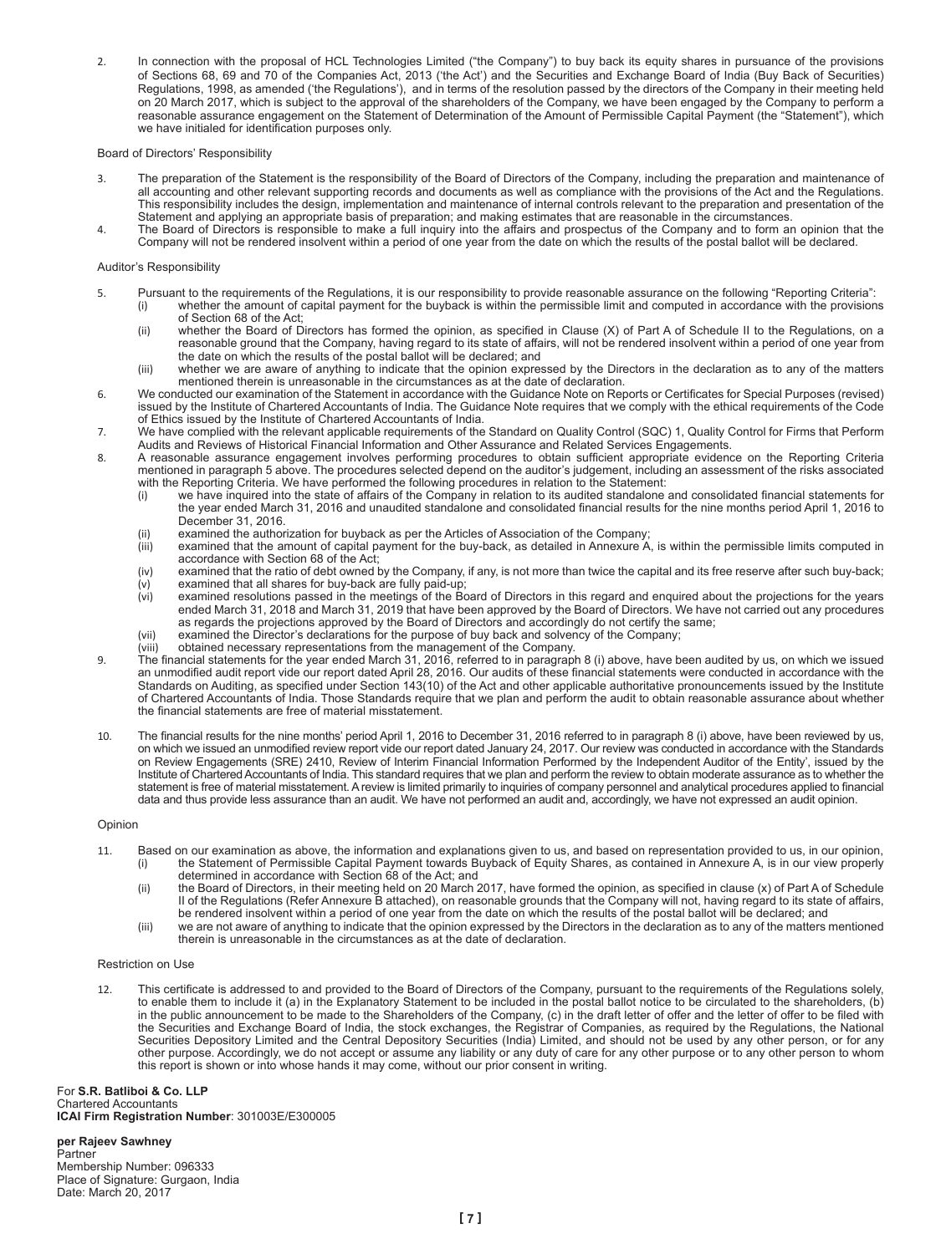2. In connection with the proposal of HCL Technologies Limited ("the Company") to buy back its equity shares in pursuance of the provisions of Sections 68, 69 and 70 of the Companies Act, 2013 ('the Act') and the Securities and Exchange Board of India (Buy Back of Securities) Regulations, 1998, as amended ('the Regulations'), and in terms of the resolution passed by the directors of the Company in their meeting held on 20 March 2017, which is subject to the approval of the shareholders of the Company, we have been engaged by the Company to perform a reasonable assurance engagement on the Statement of Determination of the Amount of Permissible Capital Payment (the "Statement"), which we have initialed for identification purposes only.

## Board of Directors' Responsibility

- 3. The preparation of the Statement is the responsibility of the Board of Directors of the Company, including the preparation and maintenance of all accounting and other relevant supporting records and documents as well as compliance with the provisions of the Act and the Regulations. This responsibility includes the design, implementation and maintenance of internal controls relevant to the preparation and presentation of the Statement and applying an appropriate basis of preparation; and making estimates that are reasonable in the circumstances.
- 4. The Board of Directors is responsible to make a full inquiry into the affairs and prospectus of the Company and to form an opinion that the Company will not be rendered insolvent within a period of one year from the date on which the results of the postal ballot will be declared.

## Auditor's Responsibility

- 5. Pursuant to the requirements of the Regulations, it is our responsibility to provide reasonable assurance on the following "Reporting Criteria": (i) whether the amount of capital payment for the buyback is within the permissible limit and computed in accordance with the provisions of Section 68 of the Act;
	- (ii) whether the Board of Directors has formed the opinion, as specified in Clause (X) of Part A of Schedule II to the Regulations, on a reasonable ground that the Company, having regard to its state of affairs, will not be rendered insolvent within a period of one year from the date on which the results of the postal ballot will be declared; and
	- (iii) whether we are aware of anything to indicate that the opinion expressed by the Directors in the declaration as to any of the matters mentioned therein is unreasonable in the circumstances as at the date of declaration.
- 6. We conducted our examination of the Statement in accordance with the Guidance Note on Reports or Certificates for Special Purposes (revised) issued by the Institute of Chartered Accountants of India. The Guidance Note requires that we comply with the ethical requirements of the Code of Ethics issued by the Institute of Chartered Accountants of India.
- 7. We have complied with the relevant applicable requirements of the Standard on Quality Control (SQC) 1, Quality Control for Firms that Perform
- Audits and Reviews of Historical Financial Information and Other Assurance and Related Services Engagements.<br>8. A reasonable assurance engagement involves performing procedures to obtain sufficient appropriate evidence on mentioned in paragraph 5 above. The procedures selected depend on the auditor's judgement, including an assessment of the risks associated
	- with the Reporting Criteria. We have performed the following procedures in relation to the Statement:<br>(i) we have inquired into the state of affairs of the Company in relation to its audited standalone and consolidated f the year ended March 31, 2016 and unaudited standalone and consolidated financial results for the nine months period April 1, 2016 to December 31, 2016.
	- (ii) examined the authorization for buyback as per the Articles of Association of the Company;
	- (iii) examined that the amount of capital payment for the buy-back, as detailed in Annexure A, is within the permissible limits computed in accordance with Section 68 of the Act;
	- (iv) examined that the ratio of debt owned by the Company, if any, is not more than twice the capital and its free reserve after such buy-back;<br>(v) examined that all shares for buy-back are fully paid-up; (v) examined that all shares for buy-back are fully paid-up;
	- (vi) examined resolutions passed in the meetings of the Board of Directors in this regard and enquired about the projections for the years ended March 31, 2018 and March 31, 2019 that have been approved by the Board of Directors. We have not carried out any procedures as regards the projections approved by the Board of Directors and accordingly do not certify the same;
	- (vii) examined the Director's declarations for the purpose of buy back and solvency of the Company;<br>(viii) obtained necessary representations from the management of the Company.
	- obtained necessary representations from the management of the Company.
- 9. The financial statements for the year ended March 31, 2016, referred to in paragraph 8 (i) above, have been audited by us, on which we issued an unmodified audit report vide our report dated April 28, 2016. Our audits of these financial statements were conducted in accordance with the Standards on Auditing, as specified under Section 143(10) of the Act and other applicable authoritative pronouncements issued by the Institute of Chartered Accountants of India. Those Standards require that we plan and perform the audit to obtain reasonable assurance about whether the financial statements are free of material misstatement.
- 10. The financial results for the nine months' period April 1, 2016 to December 31, 2016 referred to in paragraph 8 (i) above, have been reviewed by us, on which we issued an unmodified review report vide our report dated January 24, 2017. Our review was conducted in accordance with the Standards on Review Engagements (SRE) 2410, Review of Interim Financial Information Performed by the Independent Auditor of the Entity', issued by the Institute of Chartered Accountants of India. This standard requires that we plan and perform the review to obtain moderate assurance as to whether the statement is free of material misstatement. A review is limited primarily to inquiries of company personnel and analytical procedures applied to financial data and thus provide less assurance than an audit. We have not performed an audit and, accordingly, we have not expressed an audit opinion.

# Opinion

- 11. Based on our examination as above, the information and explanations given to us, and based on representation provided to us, in our opinion, (i) the Statement of Permissible Capital Payment towards Buyback of Equity Shares, as contained in Annexure A, is in our view properly
	- determined in accordance with Section 68 of the Act; and (ii) the Board of Directors, in their meeting held on 20 March 2017, have formed the opinion, as specified in clause (x) of Part A of Schedule II of the Regulations (Refer Annexure B attached), on reasonable grounds that the Company will not, having regard to its state of affairs,
	- be rendered insolvent within a period of one year from the date on which the results of the postal ballot will be declared; and (iii) we are not aware of anything to indicate that the opinion expressed by the Directors in the declaration as to any of the matters mentioned
	- therein is unreasonable in the circumstances as at the date of declaration.

## Restriction on Use

12. This certificate is addressed to and provided to the Board of Directors of the Company, pursuant to the requirements of the Regulations solely, to enable them to include it (a) in the Explanatory Statement to be included in the postal ballot notice to be circulated to the shareholders, (b) in the public announcement to be made to the Shareholders of the Company, (c) in the draft letter of offer and the letter of offer to be filed with the Securities and Exchange Board of India, the stock exchanges, the Registrar of Companies, as required by the Regulations, the National Securities Depository Limited and the Central Depository Securities (India) Limited, and should not be used by any other person, or for any other purpose. Accordingly, we do not accept or assume any liability or any duty of care for any other purpose or to any other person to whom this report is shown or into whose hands it may come, without our prior consent in writing.

For **S.R. Batliboi & Co. LLP** Chartered Accountants **ICAI Firm Registration Number**: 301003E/E300005

**per Rajeev Sawhney Partner** Membership Number: 096333 Place of Signature: Gurgaon, India Date: March 20, 2017